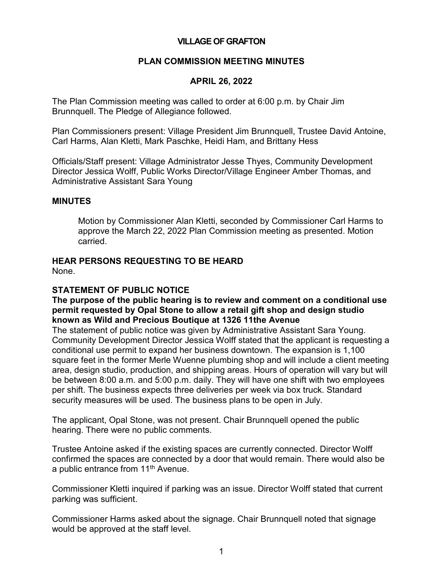#### **VILLAGE OF GRAFTON**

#### **PLAN COMMISSION MEETING MINUTES**

#### **APRIL 26, 2022**

The Plan Commission meeting was called to order at 6:00 p.m. by Chair Jim Brunnquell. The Pledge of Allegiance followed.

Plan Commissioners present: Village President Jim Brunnquell, Trustee David Antoine, Carl Harms, Alan Kletti, Mark Paschke, Heidi Ham, and Brittany Hess

Officials/Staff present: Village Administrator Jesse Thyes, Community Development Director Jessica Wolff, Public Works Director/Village Engineer Amber Thomas, and Administrative Assistant Sara Young

#### **MINUTES**

Motion by Commissioner Alan Kletti, seconded by Commissioner Carl Harms to approve the March 22, 2022 Plan Commission meeting as presented. Motion carried.

# **HEAR PERSONS REQUESTING TO BE HEARD**

None.

#### **STATEMENT OF PUBLIC NOTICE**

**The purpose of the public hearing is to review and comment on a conditional use permit requested by Opal Stone to allow a retail gift shop and design studio known as Wild and Precious Boutique at 1326 11the Avenue**

The statement of public notice was given by Administrative Assistant Sara Young. Community Development Director Jessica Wolff stated that the applicant is requesting a conditional use permit to expand her business downtown. The expansion is 1,100 square feet in the former Merle Wuenne plumbing shop and will include a client meeting area, design studio, production, and shipping areas. Hours of operation will vary but will be between 8:00 a.m. and 5:00 p.m. daily. They will have one shift with two employees per shift. The business expects three deliveries per week via box truck. Standard security measures will be used. The business plans to be open in July.

The applicant, Opal Stone, was not present. Chair Brunnquell opened the public hearing. There were no public comments.

Trustee Antoine asked if the existing spaces are currently connected. Director Wolff confirmed the spaces are connected by a door that would remain. There would also be a public entrance from 11<sup>th</sup> Avenue.

Commissioner Kletti inquired if parking was an issue. Director Wolff stated that current parking was sufficient.

Commissioner Harms asked about the signage. Chair Brunnquell noted that signage would be approved at the staff level.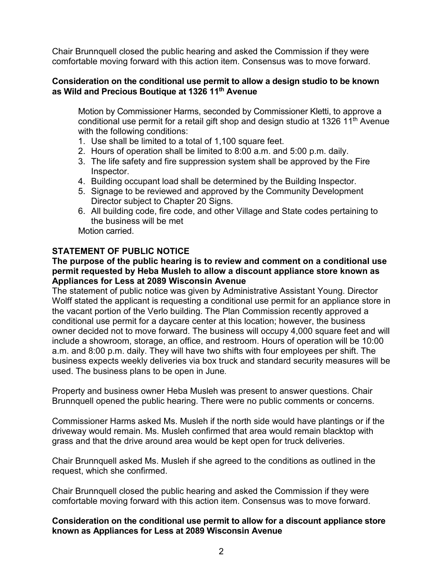Chair Brunnquell closed the public hearing and asked the Commission if they were comfortable moving forward with this action item. Consensus was to move forward.

#### **Consideration on the conditional use permit to allow a design studio to be known as Wild and Precious Boutique at 1326 11th Avenue**

Motion by Commissioner Harms, seconded by Commissioner Kletti, to approve a conditional use permit for a retail gift shop and design studio at 1326 11<sup>th</sup> Avenue with the following conditions:

- 1. Use shall be limited to a total of 1,100 square feet.
- 2. Hours of operation shall be limited to 8:00 a.m. and 5:00 p.m. daily.
- 3. The life safety and fire suppression system shall be approved by the Fire Inspector.
- 4. Building occupant load shall be determined by the Building Inspector.
- 5. Signage to be reviewed and approved by the Community Development Director subject to Chapter 20 Signs.
- 6. All building code, fire code, and other Village and State codes pertaining to the business will be met

Motion carried.

# **STATEMENT OF PUBLIC NOTICE**

#### **The purpose of the public hearing is to review and comment on a conditional use permit requested by Heba Musleh to allow a discount appliance store known as Appliances for Less at 2089 Wisconsin Avenue**

The statement of public notice was given by Administrative Assistant Young. Director Wolff stated the applicant is requesting a conditional use permit for an appliance store in the vacant portion of the Verlo building. The Plan Commission recently approved a conditional use permit for a daycare center at this location; however, the business owner decided not to move forward. The business will occupy 4,000 square feet and will include a showroom, storage, an office, and restroom. Hours of operation will be 10:00 a.m. and 8:00 p.m. daily. They will have two shifts with four employees per shift. The business expects weekly deliveries via box truck and standard security measures will be used. The business plans to be open in June.

Property and business owner Heba Musleh was present to answer questions. Chair Brunnquell opened the public hearing. There were no public comments or concerns.

Commissioner Harms asked Ms. Musleh if the north side would have plantings or if the driveway would remain. Ms. Musleh confirmed that area would remain blacktop with grass and that the drive around area would be kept open for truck deliveries.

Chair Brunnquell asked Ms. Musleh if she agreed to the conditions as outlined in the request, which she confirmed.

Chair Brunnquell closed the public hearing and asked the Commission if they were comfortable moving forward with this action item. Consensus was to move forward.

#### **Consideration on the conditional use permit to allow for a discount appliance store known as Appliances for Less at 2089 Wisconsin Avenue**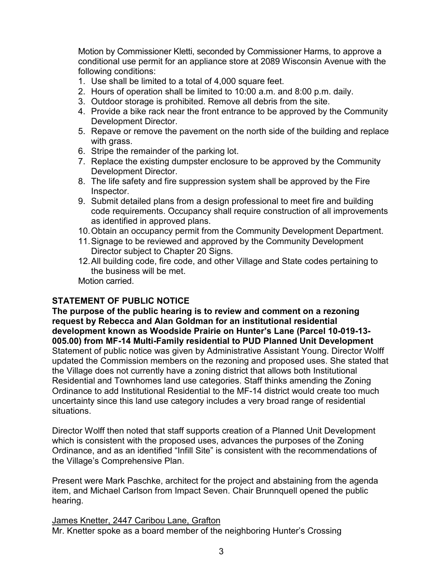Motion by Commissioner Kletti, seconded by Commissioner Harms, to approve a conditional use permit for an appliance store at 2089 Wisconsin Avenue with the following conditions:

- 1. Use shall be limited to a total of 4,000 square feet.
- 2. Hours of operation shall be limited to 10:00 a.m. and 8:00 p.m. daily.
- 3. Outdoor storage is prohibited. Remove all debris from the site.
- 4. Provide a bike rack near the front entrance to be approved by the Community Development Director.
- 5. Repave or remove the pavement on the north side of the building and replace with grass.
- 6. Stripe the remainder of the parking lot.
- 7. Replace the existing dumpster enclosure to be approved by the Community Development Director.
- 8. The life safety and fire suppression system shall be approved by the Fire Inspector.
- 9. Submit detailed plans from a design professional to meet fire and building code requirements. Occupancy shall require construction of all improvements as identified in approved plans.
- 10.Obtain an occupancy permit from the Community Development Department.
- 11.Signage to be reviewed and approved by the Community Development Director subject to Chapter 20 Signs.
- 12.All building code, fire code, and other Village and State codes pertaining to the business will be met.

Motion carried.

# **STATEMENT OF PUBLIC NOTICE**

**The purpose of the public hearing is to review and comment on a rezoning request by Rebecca and Alan Goldman for an institutional residential development known as Woodside Prairie on Hunter's Lane (Parcel 10-019-13- 005.00) from MF-14 Multi-Family residential to PUD Planned Unit Development** Statement of public notice was given by Administrative Assistant Young. Director Wolff updated the Commission members on the rezoning and proposed uses. She stated that the Village does not currently have a zoning district that allows both Institutional Residential and Townhomes land use categories. Staff thinks amending the Zoning Ordinance to add Institutional Residential to the MF-14 district would create too much uncertainty since this land use category includes a very broad range of residential situations.

Director Wolff then noted that staff supports creation of a Planned Unit Development which is consistent with the proposed uses, advances the purposes of the Zoning Ordinance, and as an identified "Infill Site" is consistent with the recommendations of the Village's Comprehensive Plan.

Present were Mark Paschke, architect for the project and abstaining from the agenda item, and Michael Carlson from Impact Seven. Chair Brunnquell opened the public hearing.

James Knetter, 2447 Caribou Lane, Grafton

Mr. Knetter spoke as a board member of the neighboring Hunter's Crossing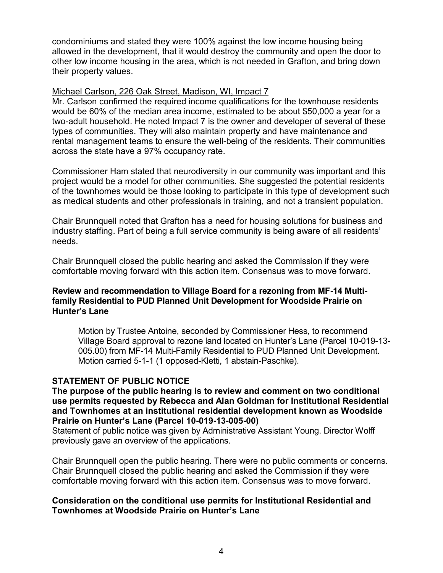condominiums and stated they were 100% against the low income housing being allowed in the development, that it would destroy the community and open the door to other low income housing in the area, which is not needed in Grafton, and bring down their property values.

#### Michael Carlson, 226 Oak Street, Madison, WI, Impact 7

Mr. Carlson confirmed the required income qualifications for the townhouse residents would be 60% of the median area income, estimated to be about \$50,000 a year for a two-adult household. He noted Impact 7 is the owner and developer of several of these types of communities. They will also maintain property and have maintenance and rental management teams to ensure the well-being of the residents. Their communities across the state have a 97% occupancy rate.

Commissioner Ham stated that neurodiversity in our community was important and this project would be a model for other communities. She suggested the potential residents of the townhomes would be those looking to participate in this type of development such as medical students and other professionals in training, and not a transient population.

Chair Brunnquell noted that Grafton has a need for housing solutions for business and industry staffing. Part of being a full service community is being aware of all residents' needs.

Chair Brunnquell closed the public hearing and asked the Commission if they were comfortable moving forward with this action item. Consensus was to move forward.

#### **Review and recommendation to Village Board for a rezoning from MF-14 Multifamily Residential to PUD Planned Unit Development for Woodside Prairie on Hunter's Lane**

Motion by Trustee Antoine, seconded by Commissioner Hess, to recommend Village Board approval to rezone land located on Hunter's Lane (Parcel 10-019-13- 005.00) from MF-14 Multi-Family Residential to PUD Planned Unit Development. Motion carried 5-1-1 (1 opposed-Kletti, 1 abstain-Paschke).

### **STATEMENT OF PUBLIC NOTICE**

#### **The purpose of the public hearing is to review and comment on two conditional use permits requested by Rebecca and Alan Goldman for Institutional Residential and Townhomes at an institutional residential development known as Woodside Prairie on Hunter's Lane (Parcel 10-019-13-005-00)**

Statement of public notice was given by Administrative Assistant Young. Director Wolff previously gave an overview of the applications.

Chair Brunnquell open the public hearing. There were no public comments or concerns. Chair Brunnquell closed the public hearing and asked the Commission if they were comfortable moving forward with this action item. Consensus was to move forward.

### **Consideration on the conditional use permits for Institutional Residential and Townhomes at Woodside Prairie on Hunter's Lane**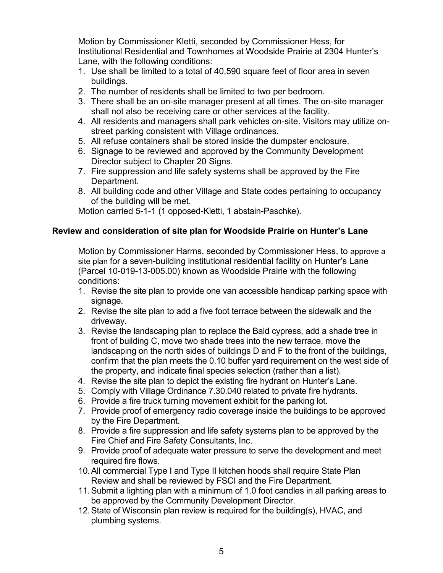Motion by Commissioner Kletti, seconded by Commissioner Hess, for Institutional Residential and Townhomes at Woodside Prairie at 2304 Hunter's Lane, with the following conditions:

- 1. Use shall be limited to a total of 40,590 square feet of floor area in seven buildings.
- 2. The number of residents shall be limited to two per bedroom.
- 3. There shall be an on-site manager present at all times. The on-site manager shall not also be receiving care or other services at the facility.
- 4. All residents and managers shall park vehicles on-site. Visitors may utilize onstreet parking consistent with Village ordinances.
- 5. All refuse containers shall be stored inside the dumpster enclosure.
- 6. Signage to be reviewed and approved by the Community Development Director subject to Chapter 20 Signs.
- 7. Fire suppression and life safety systems shall be approved by the Fire Department.
- 8. All building code and other Village and State codes pertaining to occupancy of the building will be met.

Motion carried 5-1-1 (1 opposed-Kletti, 1 abstain-Paschke).

# **Review and consideration of site plan for Woodside Prairie on Hunter's Lane**

Motion by Commissioner Harms, seconded by Commissioner Hess, to approve a site plan for a seven-building institutional residential facility on Hunter's Lane (Parcel 10-019-13-005.00) known as Woodside Prairie with the following conditions:

- 1. Revise the site plan to provide one van accessible handicap parking space with signage.
- 2. Revise the site plan to add a five foot terrace between the sidewalk and the driveway.
- 3. Revise the landscaping plan to replace the Bald cypress, add a shade tree in front of building C, move two shade trees into the new terrace, move the landscaping on the north sides of buildings D and F to the front of the buildings, confirm that the plan meets the 0.10 buffer yard requirement on the west side of the property, and indicate final species selection (rather than a list).
- 4. Revise the site plan to depict the existing fire hydrant on Hunter's Lane.
- 5. Comply with Village Ordinance 7.30.040 related to private fire hydrants.
- 6. Provide a fire truck turning movement exhibit for the parking lot.
- 7. Provide proof of emergency radio coverage inside the buildings to be approved by the Fire Department.
- 8. Provide a fire suppression and life safety systems plan to be approved by the Fire Chief and Fire Safety Consultants, Inc.
- 9. Provide proof of adequate water pressure to serve the development and meet required fire flows.
- 10.All commercial Type I and Type II kitchen hoods shall require State Plan Review and shall be reviewed by FSCI and the Fire Department.
- 11.Submit a lighting plan with a minimum of 1.0 foot candles in all parking areas to be approved by the Community Development Director.
- 12.State of Wisconsin plan review is required for the building(s), HVAC, and plumbing systems.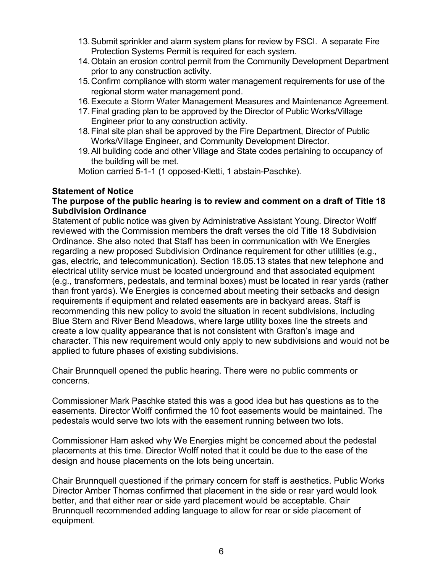- 13.Submit sprinkler and alarm system plans for review by FSCI. A separate Fire Protection Systems Permit is required for each system.
- 14.Obtain an erosion control permit from the Community Development Department prior to any construction activity.
- 15.Confirm compliance with storm water management requirements for use of the regional storm water management pond.
- 16.Execute a Storm Water Management Measures and Maintenance Agreement.
- 17.Final grading plan to be approved by the Director of Public Works/Village Engineer prior to any construction activity.
- 18.Final site plan shall be approved by the Fire Department, Director of Public Works/Village Engineer, and Community Development Director.
- 19.All building code and other Village and State codes pertaining to occupancy of the building will be met.

Motion carried 5-1-1 (1 opposed-Kletti, 1 abstain-Paschke).

# **Statement of Notice**

# **The purpose of the public hearing is to review and comment on a draft of Title 18 Subdivision Ordinance**

Statement of public notice was given by Administrative Assistant Young. Director Wolff reviewed with the Commission members the draft verses the old Title 18 Subdivision Ordinance. She also noted that Staff has been in communication with We Energies regarding a new proposed Subdivision Ordinance requirement for other utilities (e.g., gas, electric, and telecommunication). Section 18.05.13 states that new telephone and electrical utility service must be located underground and that associated equipment (e.g., transformers, pedestals, and terminal boxes) must be located in rear yards (rather than front yards). We Energies is concerned about meeting their setbacks and design requirements if equipment and related easements are in backyard areas. Staff is recommending this new policy to avoid the situation in recent subdivisions, including Blue Stem and River Bend Meadows, where large utility boxes line the streets and create a low quality appearance that is not consistent with Grafton's image and character. This new requirement would only apply to new subdivisions and would not be applied to future phases of existing subdivisions.

Chair Brunnquell opened the public hearing. There were no public comments or concerns.

Commissioner Mark Paschke stated this was a good idea but has questions as to the easements. Director Wolff confirmed the 10 foot easements would be maintained. The pedestals would serve two lots with the easement running between two lots.

Commissioner Ham asked why We Energies might be concerned about the pedestal placements at this time. Director Wolff noted that it could be due to the ease of the design and house placements on the lots being uncertain.

Chair Brunnquell questioned if the primary concern for staff is aesthetics. Public Works Director Amber Thomas confirmed that placement in the side or rear yard would look better, and that either rear or side yard placement would be acceptable. Chair Brunnquell recommended adding language to allow for rear or side placement of equipment.